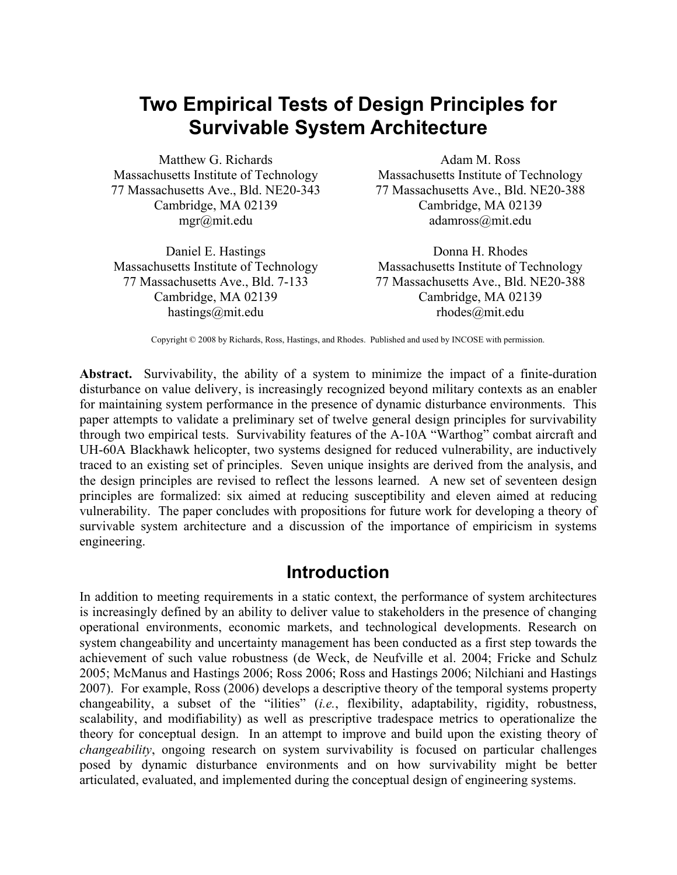# Two Empirical Tests of Design Principles for Survivable System Architecture

Matthew G. Richards Massachusetts Institute of Technology 77 Massachusetts Ave., Bld. NE20-343 Cambridge, MA 02139 mgr@mit.edu

Daniel E. Hastings Massachusetts Institute of Technology 77 Massachusetts Ave., Bld. 7-133 Cambridge, MA 02139 hastings@mit.edu

Adam M. Ross Massachusetts Institute of Technology 77 Massachusetts Ave., Bld. NE20-388 Cambridge, MA 02139 adamross@mit.edu

Donna H. Rhodes Massachusetts Institute of Technology 77 Massachusetts Ave., Bld. NE20-388 Cambridge, MA 02139 rhodes@mit.edu

Copyright © 2008 by Richards, Ross, Hastings, and Rhodes. Published and used by INCOSE with permission.

Abstract. Survivability, the ability of a system to minimize the impact of a finite-duration disturbance on value delivery, is increasingly recognized beyond military contexts as an enabler for maintaining system performance in the presence of dynamic disturbance environments. This paper attempts to validate a preliminary set of twelve general design principles for survivability through two empirical tests. Survivability features of the A-10A "Warthog" combat aircraft and UH-60A Blackhawk helicopter, two systems designed for reduced vulnerability, are inductively traced to an existing set of principles. Seven unique insights are derived from the analysis, and the design principles are revised to reflect the lessons learned. A new set of seventeen design principles are formalized: six aimed at reducing susceptibility and eleven aimed at reducing vulnerability. The paper concludes with propositions for future work for developing a theory of survivable system architecture and a discussion of the importance of empiricism in systems engineering.

#### Introduction

In addition to meeting requirements in a static context, the performance of system architectures is increasingly defined by an ability to deliver value to stakeholders in the presence of changing operational environments, economic markets, and technological developments. Research on system changeability and uncertainty management has been conducted as a first step towards the achievement of such value robustness (de Weck, de Neufville et al. 2004; Fricke and Schulz 2005; McManus and Hastings 2006; Ross 2006; Ross and Hastings 2006; Nilchiani and Hastings 2007). For example, Ross (2006) develops a descriptive theory of the temporal systems property changeability, a subset of the "ilities" (i.e., flexibility, adaptability, rigidity, robustness, scalability, and modifiability) as well as prescriptive tradespace metrics to operationalize the theory for conceptual design. In an attempt to improve and build upon the existing theory of changeability, ongoing research on system survivability is focused on particular challenges posed by dynamic disturbance environments and on how survivability might be better articulated, evaluated, and implemented during the conceptual design of engineering systems.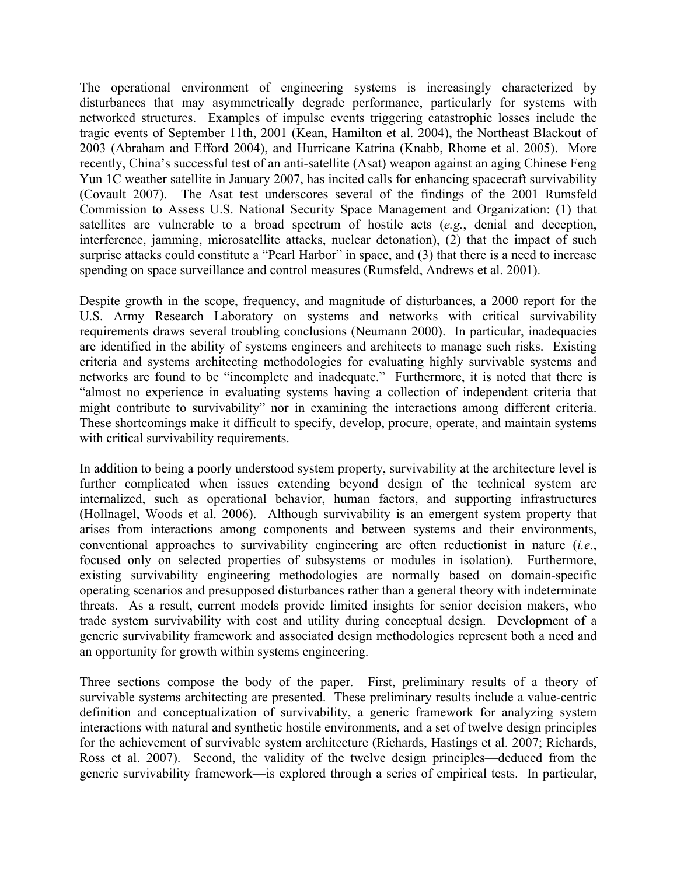The operational environment of engineering systems is increasingly characterized by disturbances that may asymmetrically degrade performance, particularly for systems with networked structures. Examples of impulse events triggering catastrophic losses include the tragic events of September 11th, 2001 (Kean, Hamilton et al. 2004), the Northeast Blackout of 2003 (Abraham and Efford 2004), and Hurricane Katrina (Knabb, Rhome et al. 2005). More recently, China's successful test of an anti-satellite (Asat) weapon against an aging Chinese Feng Yun 1C weather satellite in January 2007, has incited calls for enhancing spacecraft survivability (Covault 2007). The Asat test underscores several of the findings of the 2001 Rumsfeld Commission to Assess U.S. National Security Space Management and Organization: (1) that satellites are vulnerable to a broad spectrum of hostile acts (e.g., denial and deception, interference, jamming, microsatellite attacks, nuclear detonation), (2) that the impact of such surprise attacks could constitute a "Pearl Harbor" in space, and (3) that there is a need to increase spending on space surveillance and control measures (Rumsfeld, Andrews et al. 2001).

Despite growth in the scope, frequency, and magnitude of disturbances, a 2000 report for the U.S. Army Research Laboratory on systems and networks with critical survivability requirements draws several troubling conclusions (Neumann 2000). In particular, inadequacies are identified in the ability of systems engineers and architects to manage such risks. Existing criteria and systems architecting methodologies for evaluating highly survivable systems and networks are found to be "incomplete and inadequate." Furthermore, it is noted that there is "almost no experience in evaluating systems having a collection of independent criteria that might contribute to survivability" nor in examining the interactions among different criteria. These shortcomings make it difficult to specify, develop, procure, operate, and maintain systems with critical survivability requirements.

In addition to being a poorly understood system property, survivability at the architecture level is further complicated when issues extending beyond design of the technical system are internalized, such as operational behavior, human factors, and supporting infrastructures (Hollnagel, Woods et al. 2006). Although survivability is an emergent system property that arises from interactions among components and between systems and their environments, conventional approaches to survivability engineering are often reductionist in nature *(i.e.*, focused only on selected properties of subsystems or modules in isolation). Furthermore, existing survivability engineering methodologies are normally based on domain-specific operating scenarios and presupposed disturbances rather than a general theory with indeterminate threats. As a result, current models provide limited insights for senior decision makers, who trade system survivability with cost and utility during conceptual design. Development of a generic survivability framework and associated design methodologies represent both a need and an opportunity for growth within systems engineering.

Three sections compose the body of the paper. First, preliminary results of a theory of survivable systems architecting are presented. These preliminary results include a value-centric definition and conceptualization of survivability, a generic framework for analyzing system interactions with natural and synthetic hostile environments, and a set of twelve design principles for the achievement of survivable system architecture (Richards, Hastings et al. 2007; Richards, Ross et al. 2007). Second, the validity of the twelve design principles—deduced from the generic survivability framework—is explored through a series of empirical tests. In particular,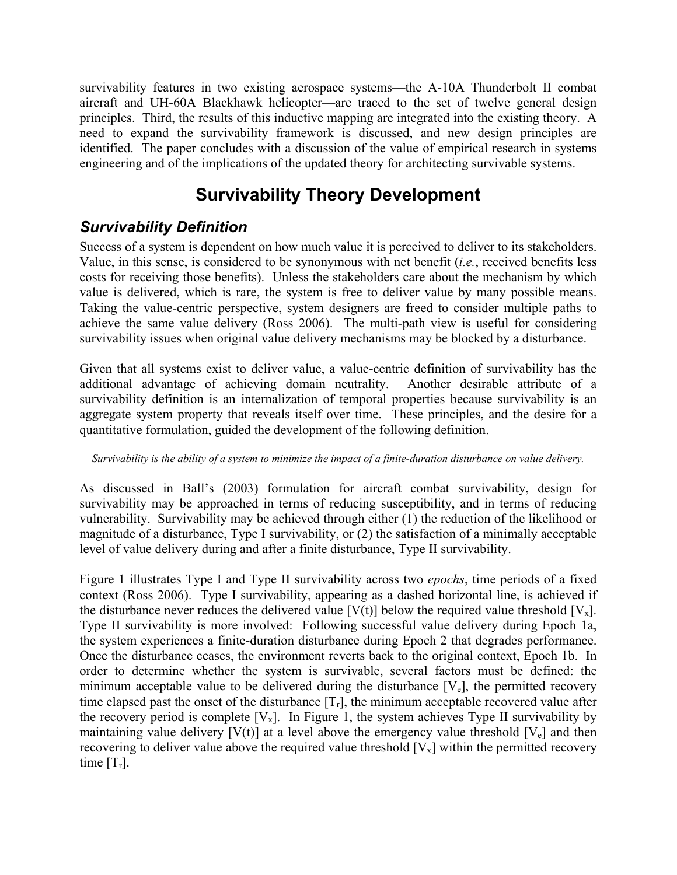survivability features in two existing aerospace systems—the A-10A Thunderbolt II combat aircraft and UH-60A Blackhawk helicopter—are traced to the set of twelve general design principles. Third, the results of this inductive mapping are integrated into the existing theory. A need to expand the survivability framework is discussed, and new design principles are identified. The paper concludes with a discussion of the value of empirical research in systems engineering and of the implications of the updated theory for architecting survivable systems.

## Survivability Theory Development

### Survivability Definition

Success of a system is dependent on how much value it is perceived to deliver to its stakeholders. Value, in this sense, is considered to be synonymous with net benefit (i.e., received benefits less costs for receiving those benefits). Unless the stakeholders care about the mechanism by which value is delivered, which is rare, the system is free to deliver value by many possible means. Taking the value-centric perspective, system designers are freed to consider multiple paths to achieve the same value delivery (Ross 2006). The multi-path view is useful for considering survivability issues when original value delivery mechanisms may be blocked by a disturbance.

Given that all systems exist to deliver value, a value-centric definition of survivability has the additional advantage of achieving domain neutrality. Another desirable attribute of a survivability definition is an internalization of temporal properties because survivability is an aggregate system property that reveals itself over time. These principles, and the desire for a quantitative formulation, guided the development of the following definition.

#### Survivability is the ability of a system to minimize the impact of a finite-duration disturbance on value delivery.

As discussed in Ball's (2003) formulation for aircraft combat survivability, design for survivability may be approached in terms of reducing susceptibility, and in terms of reducing vulnerability. Survivability may be achieved through either (1) the reduction of the likelihood or magnitude of a disturbance, Type I survivability, or (2) the satisfaction of a minimally acceptable level of value delivery during and after a finite disturbance, Type II survivability.

Figure 1 illustrates Type I and Type II survivability across two epochs, time periods of a fixed context (Ross 2006). Type I survivability, appearing as a dashed horizontal line, is achieved if the disturbance never reduces the delivered value [V(t)] below the required value threshold [V<sub>x</sub>]. Type II survivability is more involved: Following successful value delivery during Epoch 1a, the system experiences a finite-duration disturbance during Epoch 2 that degrades performance. Once the disturbance ceases, the environment reverts back to the original context, Epoch 1b. In order to determine whether the system is survivable, several factors must be defined: the minimum acceptable value to be delivered during the disturbance  $[V_e]$ , the permitted recovery time elapsed past the onset of the disturbance  $[T_r]$ , the minimum acceptable recovered value after the recovery period is complete  $[V_x]$ . In Figure 1, the system achieves Type II survivability by maintaining value delivery  $[V(t)]$  at a level above the emergency value threshold  $[V_e]$  and then recovering to deliver value above the required value threshold  $[V_x]$  within the permitted recovery time  $[T_r]$ .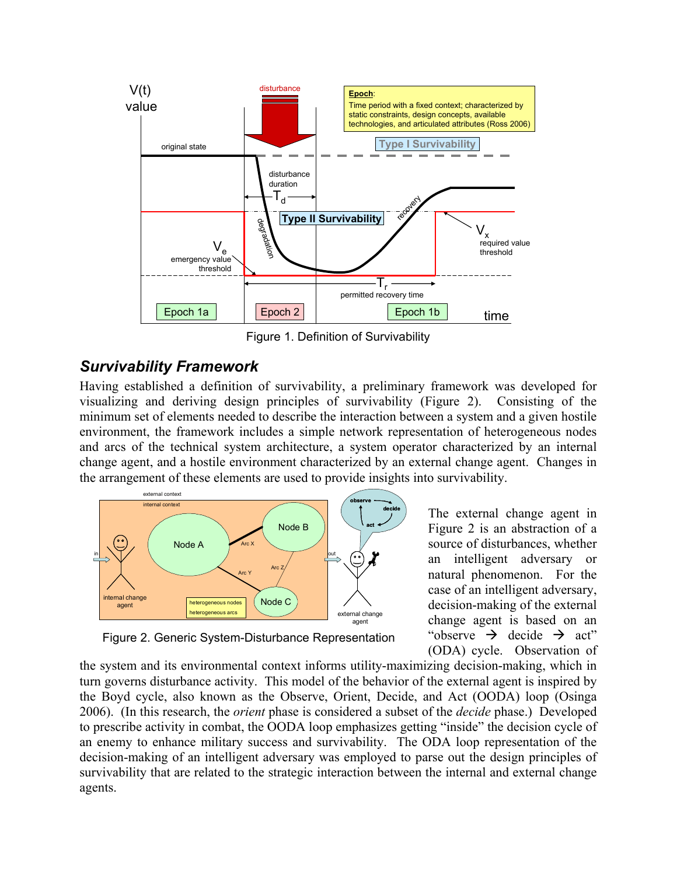

Figure 1. Definition of Survivability

#### Survivability Framework

Having established a definition of survivability, a preliminary framework was developed for visualizing and deriving design principles of survivability (Figure 2). Consisting of the minimum set of elements needed to describe the interaction between a system and a given hostile environment, the framework includes a simple network representation of heterogeneous nodes and arcs of the technical system architecture, a system operator characterized by an internal change agent, and a hostile environment characterized by an external change agent. Changes in the arrangement of these elements are used to provide insights into survivability.



The external change agent in Figure 2 is an abstraction of a source of disturbances, whether an intelligent adversary or natural phenomenon. For the case of an intelligent adversary, decision-making of the external change agent is based on an "observe  $\rightarrow$  decide  $\rightarrow$  act" (ODA) cycle. Observation of

Figure 2. Generic System-Disturbance Representation

the system and its environmental context informs utility-maximizing decision-making, which in turn governs disturbance activity. This model of the behavior of the external agent is inspired by the Boyd cycle, also known as the Observe, Orient, Decide, and Act (OODA) loop (Osinga 2006). (In this research, the orient phase is considered a subset of the decide phase.) Developed to prescribe activity in combat, the OODA loop emphasizes getting "inside" the decision cycle of an enemy to enhance military success and survivability. The ODA loop representation of the decision-making of an intelligent adversary was employed to parse out the design principles of survivability that are related to the strategic interaction between the internal and external change agents.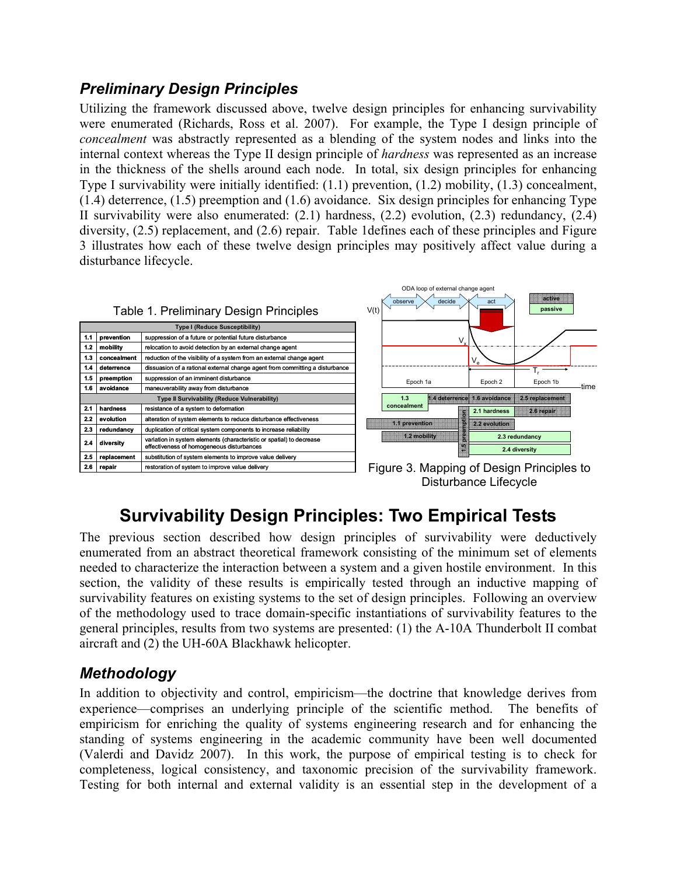### Preliminary Design Principles

Utilizing the framework discussed above, twelve design principles for enhancing survivability were enumerated (Richards, Ross et al. 2007). For example, the Type I design principle of concealment was abstractly represented as a blending of the system nodes and links into the internal context whereas the Type II design principle of hardness was represented as an increase in the thickness of the shells around each node. In total, six design principles for enhancing Type I survivability were initially identified: (1.1) prevention, (1.2) mobility, (1.3) concealment, (1.4) deterrence, (1.5) preemption and (1.6) avoidance. Six design principles for enhancing Type II survivability were also enumerated: (2.1) hardness, (2.2) evolution, (2.3) redundancy, (2.4) diversity, (2.5) replacement, and (2.6) repair. Table 1defines each of these principles and Figure 3 illustrates how each of these twelve design principles may positively affect value during a disturbance lifecycle.



Disturbance Lifecycle

## Survivability Design Principles: Two Empirical Tests

The previous section described how design principles of survivability were deductively enumerated from an abstract theoretical framework consisting of the minimum set of elements needed to characterize the interaction between a system and a given hostile environment. In this section, the validity of these results is empirically tested through an inductive mapping of survivability features on existing systems to the set of design principles. Following an overview of the methodology used to trace domain-specific instantiations of survivability features to the general principles, results from two systems are presented: (1) the A-10A Thunderbolt II combat aircraft and (2) the UH-60A Blackhawk helicopter.

#### Methodology

In addition to objectivity and control, empiricism—the doctrine that knowledge derives from experience—comprises an underlying principle of the scientific method. The benefits of empiricism for enriching the quality of systems engineering research and for enhancing the standing of systems engineering in the academic community have been well documented (Valerdi and Davidz 2007). In this work, the purpose of empirical testing is to check for completeness, logical consistency, and taxonomic precision of the survivability framework. Testing for both internal and external validity is an essential step in the development of a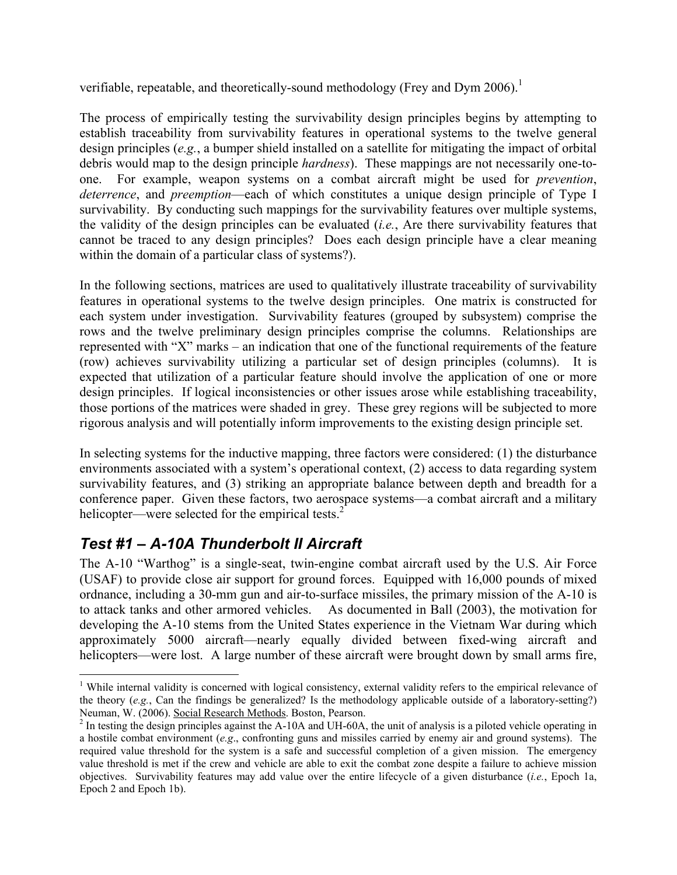verifiable, repeatable, and theoretically-sound methodology (Frey and Dym  $2006$ ).<sup>1</sup>

The process of empirically testing the survivability design principles begins by attempting to establish traceability from survivability features in operational systems to the twelve general design principles (e.g., a bumper shield installed on a satellite for mitigating the impact of orbital debris would map to the design principle *hardness*). These mappings are not necessarily one-toone. For example, weapon systems on a combat aircraft might be used for prevention, deterrence, and preemption—each of which constitutes a unique design principle of Type I survivability. By conducting such mappings for the survivability features over multiple systems, the validity of the design principles can be evaluated  $(i.e.,$  Are there survivability features that cannot be traced to any design principles? Does each design principle have a clear meaning within the domain of a particular class of systems?).

In the following sections, matrices are used to qualitatively illustrate traceability of survivability features in operational systems to the twelve design principles. One matrix is constructed for each system under investigation. Survivability features (grouped by subsystem) comprise the rows and the twelve preliminary design principles comprise the columns. Relationships are represented with "X" marks – an indication that one of the functional requirements of the feature (row) achieves survivability utilizing a particular set of design principles (columns). It is expected that utilization of a particular feature should involve the application of one or more design principles. If logical inconsistencies or other issues arose while establishing traceability, those portions of the matrices were shaded in grey. These grey regions will be subjected to more rigorous analysis and will potentially inform improvements to the existing design principle set.

In selecting systems for the inductive mapping, three factors were considered: (1) the disturbance environments associated with a system's operational context, (2) access to data regarding system survivability features, and (3) striking an appropriate balance between depth and breadth for a conference paper. Given these factors, two aerospace systems—a combat aircraft and a military helicopter—were selected for the empirical tests.<sup>2</sup>

## Test #1 – A-10A Thunderbolt II Aircraft

The A-10 "Warthog" is a single-seat, twin-engine combat aircraft used by the U.S. Air Force (USAF) to provide close air support for ground forces. Equipped with 16,000 pounds of mixed ordnance, including a 30-mm gun and air-to-surface missiles, the primary mission of the A-10 is to attack tanks and other armored vehicles. As documented in Ball (2003), the motivation for developing the A-10 stems from the United States experience in the Vietnam War during which approximately 5000 aircraft—nearly equally divided between fixed-wing aircraft and helicopters—were lost. A large number of these aircraft were brought down by small arms fire,

<sup>&</sup>lt;u>.</u> <sup>1</sup> While internal validity is concerned with logical consistency, external validity refers to the empirical relevance of the theory (e.g., Can the findings be generalized? Is the methodology applicable outside of a laboratory-setting?) Neuman, W. (2006). Social Research Methods. Boston, Pearson.

 $2$  In testing the design principles against the A-10A and UH-60A, the unit of analysis is a piloted vehicle operating in a hostile combat environment (e.g., confronting guns and missiles carried by enemy air and ground systems). The required value threshold for the system is a safe and successful completion of a given mission. The emergency value threshold is met if the crew and vehicle are able to exit the combat zone despite a failure to achieve mission objectives. Survivability features may add value over the entire lifecycle of a given disturbance (*i.e.*, Epoch 1a, Epoch 2 and Epoch 1b).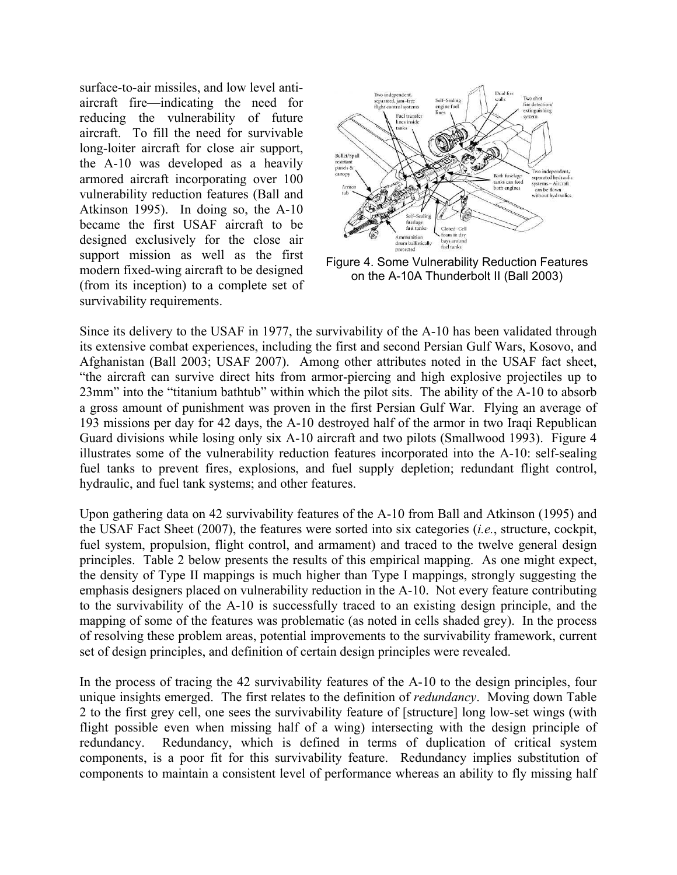surface-to-air missiles, and low level antiaircraft fire—indicating the need for reducing the vulnerability of future aircraft. To fill the need for survivable long-loiter aircraft for close air support, the A-10 was developed as a heavily armored aircraft incorporating over 100 vulnerability reduction features (Ball and Atkinson 1995). In doing so, the A-10 became the first USAF aircraft to be designed exclusively for the close air support mission as well as the first modern fixed-wing aircraft to be designed (from its inception) to a complete set of survivability requirements.



Figure 4. Some Vulnerability Reduction Features on the A-10A Thunderbolt II (Ball 2003)

Since its delivery to the USAF in 1977, the survivability of the A-10 has been validated through its extensive combat experiences, including the first and second Persian Gulf Wars, Kosovo, and Afghanistan (Ball 2003; USAF 2007). Among other attributes noted in the USAF fact sheet, "the aircraft can survive direct hits from armor-piercing and high explosive projectiles up to 23mm" into the "titanium bathtub" within which the pilot sits. The ability of the A-10 to absorb a gross amount of punishment was proven in the first Persian Gulf War. Flying an average of 193 missions per day for 42 days, the A-10 destroyed half of the armor in two Iraqi Republican Guard divisions while losing only six A-10 aircraft and two pilots (Smallwood 1993). Figure 4 illustrates some of the vulnerability reduction features incorporated into the A-10: self-sealing fuel tanks to prevent fires, explosions, and fuel supply depletion; redundant flight control, hydraulic, and fuel tank systems; and other features.

Upon gathering data on 42 survivability features of the A-10 from Ball and Atkinson (1995) and the USAF Fact Sheet (2007), the features were sorted into six categories (i.e., structure, cockpit, fuel system, propulsion, flight control, and armament) and traced to the twelve general design principles. Table 2 below presents the results of this empirical mapping. As one might expect, the density of Type II mappings is much higher than Type I mappings, strongly suggesting the emphasis designers placed on vulnerability reduction in the A-10. Not every feature contributing to the survivability of the A-10 is successfully traced to an existing design principle, and the mapping of some of the features was problematic (as noted in cells shaded grey). In the process of resolving these problem areas, potential improvements to the survivability framework, current set of design principles, and definition of certain design principles were revealed.

In the process of tracing the 42 survivability features of the A-10 to the design principles, four unique insights emerged. The first relates to the definition of *redundancy*. Moving down Table 2 to the first grey cell, one sees the survivability feature of [structure] long low-set wings (with flight possible even when missing half of a wing) intersecting with the design principle of redundancy. Redundancy, which is defined in terms of duplication of critical system components, is a poor fit for this survivability feature. Redundancy implies substitution of components to maintain a consistent level of performance whereas an ability to fly missing half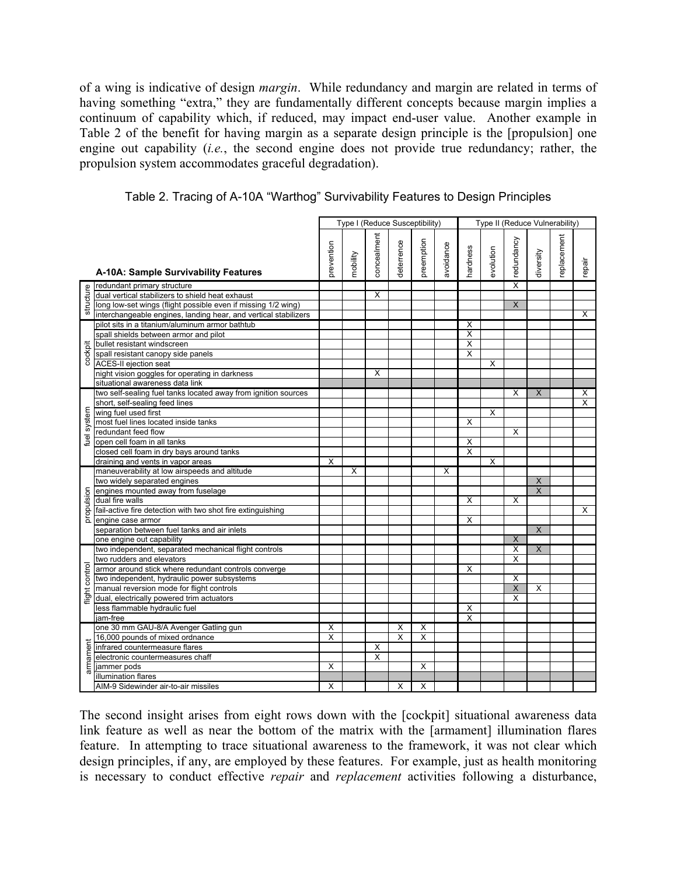of a wing is indicative of design margin. While redundancy and margin are related in terms of having something "extra," they are fundamentally different concepts because margin implies a continuum of capability which, if reduced, may impact end-user value. Another example in Table 2 of the benefit for having margin as a separate design principle is the [propulsion] one engine out capability *(i.e.*, the second engine does not provide true redundancy; rather, the propulsion system accommodates graceful degradation).

| Table 2. Tracing of A-10A "Warthog" Survivability Features to Design Principles |  |  |
|---------------------------------------------------------------------------------|--|--|
|---------------------------------------------------------------------------------|--|--|

|                |                                                                 | Type I (Reduce Susceptibility) |          |             |            |                         |           | Type II (Reduce Vulnerability) |                |                         |                         |             |                         |
|----------------|-----------------------------------------------------------------|--------------------------------|----------|-------------|------------|-------------------------|-----------|--------------------------------|----------------|-------------------------|-------------------------|-------------|-------------------------|
|                | A-10A: Sample Survivability Features                            | prevention                     | mobility | concealment | deterrence | preemption              | avoidance | hardness                       | evolution      | redundancy              | diversity               | replacement | repair                  |
|                | redundant primary structure                                     |                                |          |             |            |                         |           |                                |                | X                       |                         |             |                         |
|                | dual vertical stabilizers to shield heat exhaust                |                                |          | X           |            |                         |           |                                |                |                         |                         |             |                         |
| structure      | long low-set wings (flight possible even if missing 1/2 wing)   |                                |          |             |            |                         |           |                                |                | X                       |                         |             |                         |
|                | interchangeable engines, landing hear, and vertical stabilizers |                                |          |             |            |                         |           |                                |                |                         |                         |             | $\overline{\mathsf{x}}$ |
|                | pilot sits in a titanium/aluminum armor bathtub                 |                                |          |             |            |                         |           | х                              |                |                         |                         |             |                         |
|                | spall shields between armor and pilot                           |                                |          |             |            |                         |           | X                              |                |                         |                         |             |                         |
|                | bullet resistant windscreen                                     |                                |          |             |            |                         |           | X                              |                |                         |                         |             |                         |
| cockpit        | spall resistant canopy side panels                              |                                |          |             |            |                         |           | X                              |                |                         |                         |             |                         |
|                | <b>ACES-II ejection seat</b>                                    |                                |          |             |            |                         |           |                                | X              |                         |                         |             |                         |
|                | night vision goggles for operating in darkness                  |                                |          | X           |            |                         |           |                                |                |                         |                         |             |                         |
|                | situational awareness data link                                 |                                |          |             |            |                         |           |                                |                |                         |                         |             |                         |
|                | two self-sealing fuel tanks located away from ignition sources  |                                |          |             |            |                         |           |                                |                | X                       | X                       |             | X                       |
|                | short, self-sealing feed lines                                  |                                |          |             |            |                         |           |                                |                |                         |                         |             | $\overline{X}$          |
|                | wing fuel used first                                            |                                |          |             |            |                         |           |                                | X              |                         |                         |             |                         |
|                | most fuel lines located inside tanks                            |                                |          |             |            |                         |           | X                              |                |                         |                         |             |                         |
|                | redundant feed flow                                             |                                |          |             |            |                         |           |                                |                | X                       |                         |             |                         |
| fuel system    | open cell foam in all tanks                                     |                                |          |             |            |                         |           | X                              |                |                         |                         |             |                         |
|                | closed cell foam in dry bays around tanks                       |                                |          |             |            |                         |           | X                              |                |                         |                         |             |                         |
|                | draining and vents in vapor areas                               | X                              |          |             |            |                         |           |                                | $\overline{X}$ |                         |                         |             |                         |
|                | maneuverability at low airspeeds and altitude                   |                                | X        |             |            |                         | X         |                                |                |                         |                         |             |                         |
|                | two widely separated engines                                    |                                |          |             |            |                         |           |                                |                |                         | X                       |             |                         |
|                | engines mounted away from fuselage                              |                                |          |             |            |                         |           |                                |                |                         | X                       |             |                         |
|                | dual fire walls                                                 |                                |          |             |            |                         |           | X                              |                | X                       |                         |             |                         |
| propulsion     | fail-active fire detection with two shot fire extinguishing     |                                |          |             |            |                         |           |                                |                |                         |                         |             | X                       |
|                | engine case armor                                               |                                |          |             |            |                         |           | х                              |                |                         |                         |             |                         |
|                | separation between fuel tanks and air inlets                    |                                |          |             |            |                         |           |                                |                |                         | $\times$                |             |                         |
|                | one engine out capability                                       |                                |          |             |            |                         |           |                                |                | $\overline{\mathsf{x}}$ |                         |             |                         |
|                | two independent, separated mechanical flight controls           |                                |          |             |            |                         |           |                                |                | X                       | $\overline{\mathsf{x}}$ |             |                         |
|                | two rudders and elevators                                       |                                |          |             |            |                         |           |                                |                | X                       |                         |             |                         |
|                | armor around stick where redundant controls converge            |                                |          |             |            |                         |           | X                              |                |                         |                         |             |                         |
| flight control | two independent, hydraulic power subsystems                     |                                |          |             |            |                         |           |                                |                | X                       |                         |             |                         |
|                | manual reversion mode for flight controls                       |                                |          |             |            |                         |           |                                |                | $\overline{X}$          | X                       |             |                         |
|                | dual, electrically powered trim actuators                       |                                |          |             |            |                         |           |                                |                | X                       |                         |             |                         |
|                | less flammable hydraulic fuel                                   |                                |          |             |            |                         |           | X                              |                |                         |                         |             |                         |
|                | jam-free                                                        |                                |          |             |            |                         |           | X                              |                |                         |                         |             |                         |
|                | one 30 mm GAU-8/A Avenger Gatling gun                           | X                              |          |             | X          | X                       |           |                                |                |                         |                         |             |                         |
|                | 16,000 pounds of mixed ordnance                                 | X                              |          |             | X          | $\overline{\mathsf{x}}$ |           |                                |                |                         |                         |             |                         |
| armament       | infrared countermeasure flares                                  |                                |          | X           |            |                         |           |                                |                |                         |                         |             |                         |
|                | electronic countermeasures chaff                                |                                |          | X           |            |                         |           |                                |                |                         |                         |             |                         |
|                | jammer pods                                                     | X                              |          |             |            | X                       |           |                                |                |                         |                         |             |                         |
|                | illumination flares                                             |                                |          |             |            |                         |           |                                |                |                         |                         |             |                         |
|                | AIM-9 Sidewinder air-to-air missiles                            | X                              |          |             | X          | X                       |           |                                |                |                         |                         |             |                         |

The second insight arises from eight rows down with the [cockpit] situational awareness data link feature as well as near the bottom of the matrix with the [armament] illumination flares feature. In attempting to trace situational awareness to the framework, it was not clear which design principles, if any, are employed by these features. For example, just as health monitoring is necessary to conduct effective repair and replacement activities following a disturbance,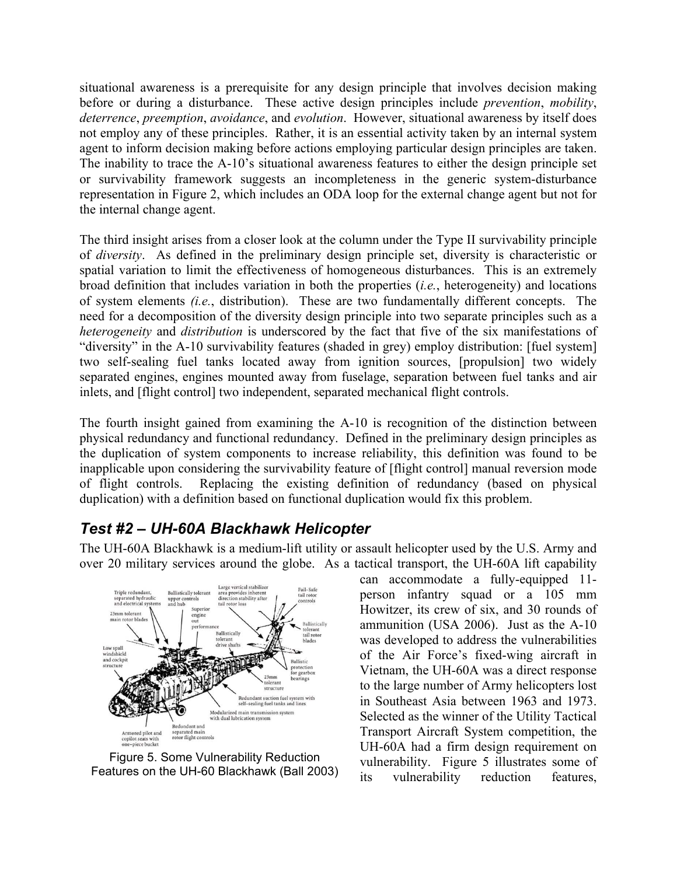situational awareness is a prerequisite for any design principle that involves decision making before or during a disturbance. These active design principles include *prevention*, mobility, deterrence, preemption, avoidance, and evolution. However, situational awareness by itself does not employ any of these principles. Rather, it is an essential activity taken by an internal system agent to inform decision making before actions employing particular design principles are taken. The inability to trace the A-10's situational awareness features to either the design principle set or survivability framework suggests an incompleteness in the generic system-disturbance representation in Figure 2, which includes an ODA loop for the external change agent but not for the internal change agent.

The third insight arises from a closer look at the column under the Type II survivability principle of diversity. As defined in the preliminary design principle set, diversity is characteristic or spatial variation to limit the effectiveness of homogeneous disturbances. This is an extremely broad definition that includes variation in both the properties (i.e., heterogeneity) and locations of system elements  $(i.e.,$  distribution). These are two fundamentally different concepts. The need for a decomposition of the diversity design principle into two separate principles such as a heterogeneity and *distribution* is underscored by the fact that five of the six manifestations of "diversity" in the A-10 survivability features (shaded in grey) employ distribution: [fuel system] two self-sealing fuel tanks located away from ignition sources, [propulsion] two widely separated engines, engines mounted away from fuselage, separation between fuel tanks and air inlets, and [flight control] two independent, separated mechanical flight controls.

The fourth insight gained from examining the A-10 is recognition of the distinction between physical redundancy and functional redundancy. Defined in the preliminary design principles as the duplication of system components to increase reliability, this definition was found to be inapplicable upon considering the survivability feature of [flight control] manual reversion mode of flight controls. Replacing the existing definition of redundancy (based on physical duplication) with a definition based on functional duplication would fix this problem.

### Test #2 – UH-60A Blackhawk Helicopter

The UH-60A Blackhawk is a medium-lift utility or assault helicopter used by the U.S. Army and over 20 military services around the globe. As a tactical transport, the UH-60A lift capability





can accommodate a fully-equipped 11 person infantry squad or a 105 mm Howitzer, its crew of six, and 30 rounds of ammunition (USA 2006). Just as the A-10 was developed to address the vulnerabilities of the Air Force's fixed-wing aircraft in Vietnam, the UH-60A was a direct response to the large number of Army helicopters lost in Southeast Asia between 1963 and 1973. Selected as the winner of the Utility Tactical Transport Aircraft System competition, the UH-60A had a firm design requirement on vulnerability. Figure 5 illustrates some of its vulnerability reduction features,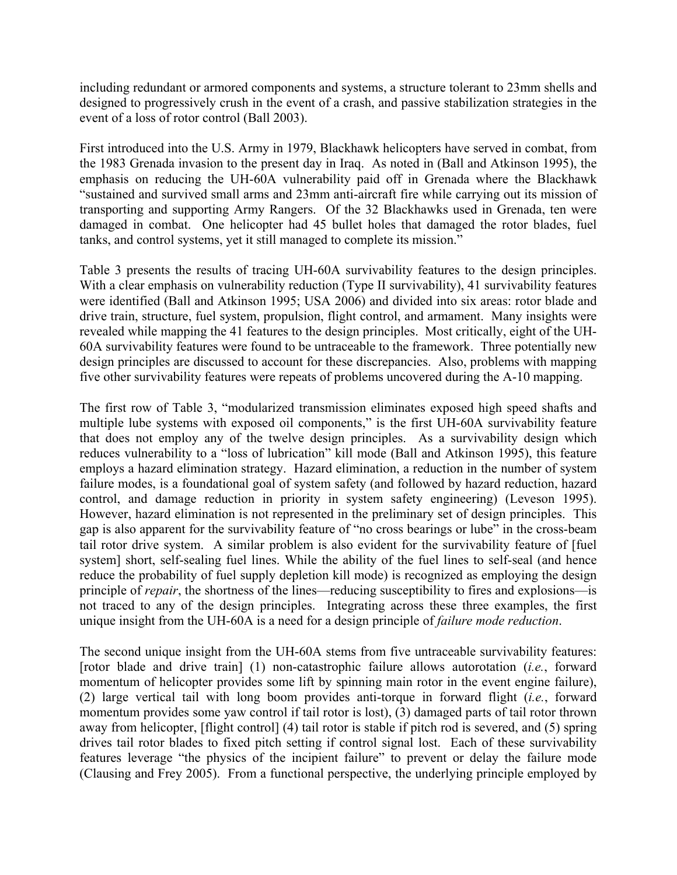including redundant or armored components and systems, a structure tolerant to 23mm shells and designed to progressively crush in the event of a crash, and passive stabilization strategies in the event of a loss of rotor control (Ball 2003).

First introduced into the U.S. Army in 1979, Blackhawk helicopters have served in combat, from the 1983 Grenada invasion to the present day in Iraq. As noted in (Ball and Atkinson 1995), the emphasis on reducing the UH-60A vulnerability paid off in Grenada where the Blackhawk "sustained and survived small arms and 23mm anti-aircraft fire while carrying out its mission of transporting and supporting Army Rangers. Of the 32 Blackhawks used in Grenada, ten were damaged in combat. One helicopter had 45 bullet holes that damaged the rotor blades, fuel tanks, and control systems, yet it still managed to complete its mission."

Table 3 presents the results of tracing UH-60A survivability features to the design principles. With a clear emphasis on vulnerability reduction (Type II survivability), 41 survivability features were identified (Ball and Atkinson 1995; USA 2006) and divided into six areas: rotor blade and drive train, structure, fuel system, propulsion, flight control, and armament. Many insights were revealed while mapping the 41 features to the design principles. Most critically, eight of the UH-60A survivability features were found to be untraceable to the framework. Three potentially new design principles are discussed to account for these discrepancies. Also, problems with mapping five other survivability features were repeats of problems uncovered during the A-10 mapping.

The first row of Table 3, "modularized transmission eliminates exposed high speed shafts and multiple lube systems with exposed oil components," is the first UH-60A survivability feature that does not employ any of the twelve design principles. As a survivability design which reduces vulnerability to a "loss of lubrication" kill mode (Ball and Atkinson 1995), this feature employs a hazard elimination strategy. Hazard elimination, a reduction in the number of system failure modes, is a foundational goal of system safety (and followed by hazard reduction, hazard control, and damage reduction in priority in system safety engineering) (Leveson 1995). However, hazard elimination is not represented in the preliminary set of design principles. This gap is also apparent for the survivability feature of "no cross bearings or lube" in the cross-beam tail rotor drive system. A similar problem is also evident for the survivability feature of [fuel system] short, self-sealing fuel lines. While the ability of the fuel lines to self-seal (and hence reduce the probability of fuel supply depletion kill mode) is recognized as employing the design principle of repair, the shortness of the lines—reducing susceptibility to fires and explosions—is not traced to any of the design principles. Integrating across these three examples, the first unique insight from the UH-60A is a need for a design principle of failure mode reduction.

The second unique insight from the UH-60A stems from five untraceable survivability features: [rotor blade and drive train] (1) non-catastrophic failure allows autorotation (*i.e.*, forward momentum of helicopter provides some lift by spinning main rotor in the event engine failure), (2) large vertical tail with long boom provides anti-torque in forward flight (i.e., forward momentum provides some yaw control if tail rotor is lost), (3) damaged parts of tail rotor thrown away from helicopter, [flight control] (4) tail rotor is stable if pitch rod is severed, and (5) spring drives tail rotor blades to fixed pitch setting if control signal lost. Each of these survivability features leverage "the physics of the incipient failure" to prevent or delay the failure mode (Clausing and Frey 2005). From a functional perspective, the underlying principle employed by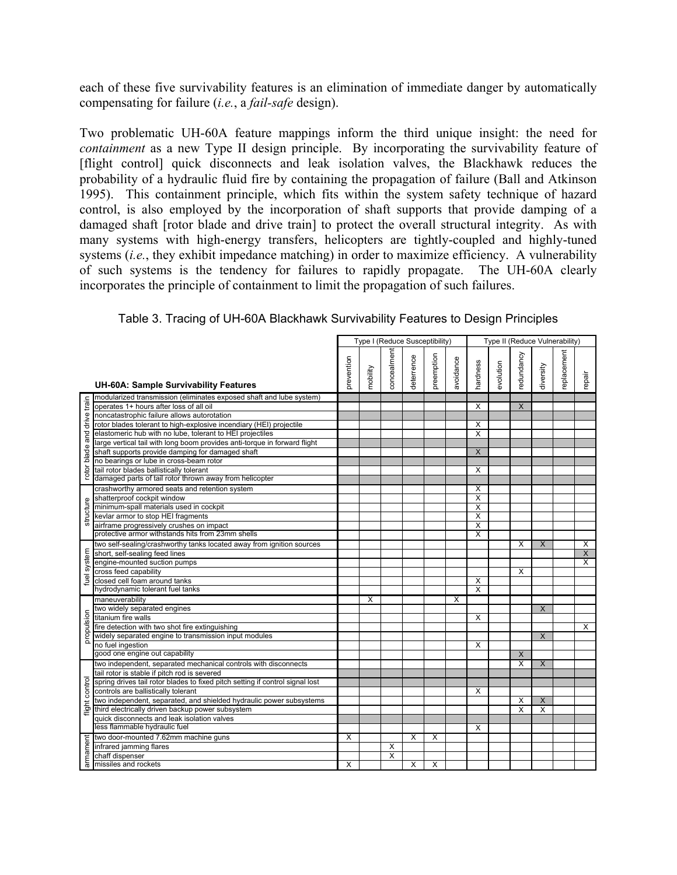each of these five survivability features is an elimination of immediate danger by automatically compensating for failure (i.e., a fail-safe design).

Two problematic UH-60A feature mappings inform the third unique insight: the need for containment as a new Type II design principle. By incorporating the survivability feature of [flight control] quick disconnects and leak isolation valves, the Blackhawk reduces the probability of a hydraulic fluid fire by containing the propagation of failure (Ball and Atkinson 1995). This containment principle, which fits within the system safety technique of hazard control, is also employed by the incorporation of shaft supports that provide damping of a damaged shaft [rotor blade and drive train] to protect the overall structural integrity. As with many systems with high-energy transfers, helicopters are tightly-coupled and highly-tuned systems  $(i.e., they exhibit impedance matching)$  in order to maximize efficiency. A vulnerability of such systems is the tendency for failures to rapidly propagate. The UH-60A clearly incorporates the principle of containment to limit the propagation of such failures.

|             |                                                                               |            |          | Type T (Request Susceptibility) |            |                         |           |          |           | Type if (Request vullerability) |                         |             |                         |
|-------------|-------------------------------------------------------------------------------|------------|----------|---------------------------------|------------|-------------------------|-----------|----------|-----------|---------------------------------|-------------------------|-------------|-------------------------|
|             | UH-60A: Sample Survivability Features                                         | prevention | mobility | concealment                     | deterrence | preemption              | avoidance | hardness | evolution | redundancy                      | diversity               | replacement | repair                  |
|             | modularized transmission (eliminates exposed shaft and lube system)           |            |          |                                 |            |                         |           |          |           |                                 |                         |             |                         |
| train       | operates 1+ hours after loss of all oil                                       |            |          |                                 |            |                         |           | X        |           | $\mathsf{X}$                    |                         |             |                         |
|             | noncatastrophic failure allows autorotation                                   |            |          |                                 |            |                         |           |          |           |                                 |                         |             |                         |
| drive       | rotor blades tolerant to high-explosive incendiary (HEI) projectile           |            |          |                                 |            |                         |           | X        |           |                                 |                         |             |                         |
|             | elastomeric hub with no lube, tolerant to HEI projectiles                     |            |          |                                 |            |                         |           | X        |           |                                 |                         |             |                         |
| and<br>Fi   | large vertical tail with long boom provides anti-torque in forward flight     |            |          |                                 |            |                         |           |          |           |                                 |                         |             |                         |
|             | shaft supports provide damping for damaged shaft                              |            |          |                                 |            |                         |           | X        |           |                                 |                         |             |                         |
|             | no bearings or lube in cross-beam rotor                                       |            |          |                                 |            |                         |           |          |           |                                 |                         |             |                         |
| rotor blade | tail rotor blades ballistically tolerant                                      |            |          |                                 |            |                         |           | X        |           |                                 |                         |             |                         |
|             | damaged parts of tail rotor thrown away from helicopter                       |            |          |                                 |            |                         |           |          |           |                                 |                         |             |                         |
|             |                                                                               |            |          |                                 |            |                         |           |          |           |                                 |                         |             |                         |
|             | crashworthy armored seats and retention system                                |            |          |                                 |            |                         |           | Х        |           |                                 |                         |             |                         |
|             | shatterproof cockpit window                                                   |            |          |                                 |            |                         |           | X        |           |                                 |                         |             |                         |
| structure   | minimum-spall materials used in cockpit                                       |            |          |                                 |            |                         |           | X        |           |                                 |                         |             |                         |
|             | kevlar armor to stop HEI fragments                                            |            |          |                                 |            |                         |           | X        |           |                                 |                         |             |                         |
|             | airframe progressively crushes on impact                                      |            |          |                                 |            |                         |           | X        |           |                                 |                         |             |                         |
|             | protective armor withstands hits from 23mm shells                             |            |          |                                 |            |                         |           | X        |           |                                 |                         |             |                         |
|             | two self-sealing/crashworthy tanks located away from ignition sources         |            |          |                                 |            |                         |           |          |           | X                               | X                       |             | X                       |
|             | short, self-sealing feed lines                                                |            |          |                                 |            |                         |           |          |           |                                 |                         |             | X                       |
| system      | engine-mounted suction pumps                                                  |            |          |                                 |            |                         |           |          |           |                                 |                         |             | X                       |
|             | cross feed capability                                                         |            |          |                                 |            |                         |           |          |           | X                               |                         |             |                         |
| lel         | closed cell foam around tanks                                                 |            |          |                                 |            |                         |           | X        |           |                                 |                         |             |                         |
|             | hydrodynamic tolerant fuel tanks                                              |            |          |                                 |            |                         |           | X        |           |                                 |                         |             |                         |
|             | maneuverability                                                               |            | X        |                                 |            |                         | X         |          |           |                                 |                         |             |                         |
|             | two widely separated engines                                                  |            |          |                                 |            |                         |           |          |           |                                 | $\overline{\mathsf{x}}$ |             |                         |
|             | titanium fire walls                                                           |            |          |                                 |            |                         |           | X        |           |                                 |                         |             |                         |
| propulsion  | fire detection with two shot fire extinguishing                               |            |          |                                 |            |                         |           |          |           |                                 |                         |             | $\overline{\mathsf{x}}$ |
|             | widely separated engine to transmission input modules                         |            |          |                                 |            |                         |           |          |           |                                 | X                       |             |                         |
|             | no fuel ingestion                                                             |            |          |                                 |            |                         |           | X        |           |                                 |                         |             |                         |
|             | good one engine out capability                                                |            |          |                                 |            |                         |           |          |           | $\overline{X}$                  |                         |             |                         |
|             | two independent, separated mechanical controls with disconnects               |            |          |                                 |            |                         |           |          |           | X                               | X                       |             |                         |
|             | tail rotor is stable if pitch rod is severed                                  |            |          |                                 |            |                         |           |          |           |                                 |                         |             |                         |
| contro      | spring drives tail rotor blades to fixed pitch setting if control signal lost |            |          |                                 |            |                         |           |          |           |                                 |                         |             |                         |
|             | controls are ballistically tolerant                                           |            |          |                                 |            |                         |           | X        |           |                                 |                         |             |                         |
|             | two independent, separated, and shielded hydraulic power subsystems           |            |          |                                 |            |                         |           |          |           | X                               | X                       |             |                         |
| flight      | third electrically driven backup power subsystem                              |            |          |                                 |            |                         |           |          |           | X                               | X                       |             |                         |
|             | quick disconnects and leak isolation valves                                   |            |          |                                 |            |                         |           |          |           |                                 |                         |             |                         |
|             | less flammable hydraulic fuel                                                 |            |          |                                 |            |                         |           | X        |           |                                 |                         |             |                         |
|             | two door-mounted 7.62mm machine guns                                          | X          |          |                                 | X          | X                       |           |          |           |                                 |                         |             |                         |
|             | infrared jamming flares                                                       |            |          | X                               |            |                         |           |          |           |                                 |                         |             |                         |
| armament    | chaff dispenser                                                               |            |          | X                               |            |                         |           |          |           |                                 |                         |             |                         |
|             | missiles and rockets                                                          | X          |          |                                 | X          | $\overline{\mathsf{x}}$ |           |          |           |                                 |                         |             |                         |
|             |                                                                               |            |          |                                 |            |                         |           |          |           |                                 |                         |             |                         |

Table 3. Tracing of UH-60A Blackhawk Survivability Features to Design Principles

Type I (Reduce Susceptibility) Type II (Reduce Vulnerability)

 $\overline{\phantom{0}}$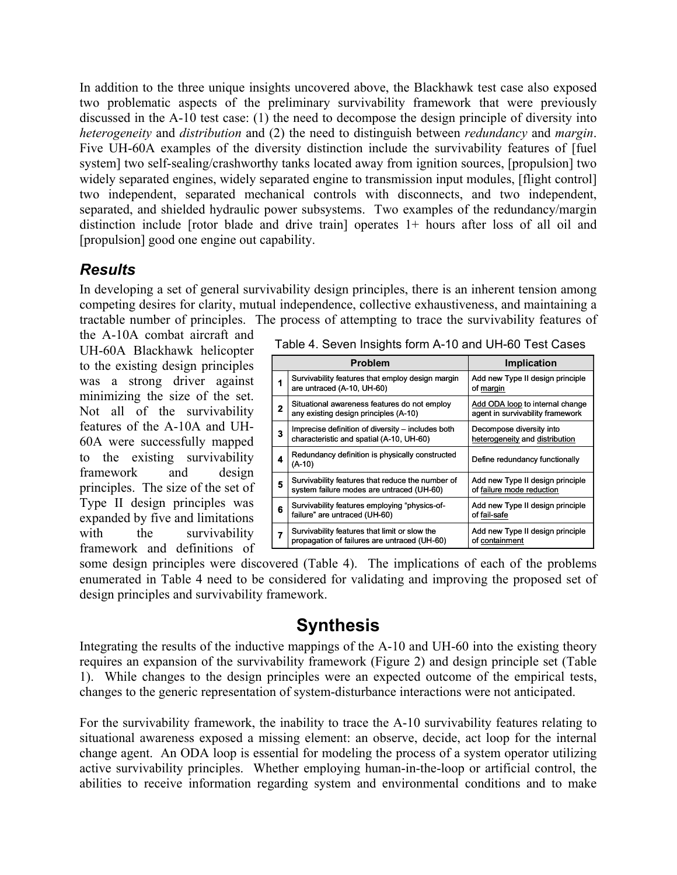In addition to the three unique insights uncovered above, the Blackhawk test case also exposed two problematic aspects of the preliminary survivability framework that were previously discussed in the A-10 test case: (1) the need to decompose the design principle of diversity into heterogeneity and *distribution* and (2) the need to distinguish between *redundancy* and *margin*. Five UH-60A examples of the diversity distinction include the survivability features of [fuel system] two self-sealing/crashworthy tanks located away from ignition sources, [propulsion] two widely separated engines, widely separated engine to transmission input modules, [flight control] two independent, separated mechanical controls with disconnects, and two independent, separated, and shielded hydraulic power subsystems. Two examples of the redundancy/margin distinction include [rotor blade and drive train] operates 1+ hours after loss of all oil and [propulsion] good one engine out capability.

#### **Results**

In developing a set of general survivability design principles, there is an inherent tension among competing desires for clarity, mutual independence, collective exhaustiveness, and maintaining a tractable number of principles. The process of attempting to trace the survivability features of

the A-10A combat aircraft and UH-60A Blackhawk helicopter to the existing design principles was a strong driver against minimizing the size of the set. Not all of the survivability features of the A-10A and UH-60A were successfully mapped to the existing survivability framework and design principles. The size of the set of Type II design principles was expanded by five and limitations with the survivability framework and definitions of

| Table 4. Seven Insights form A-10 and UH-60 Test Cases |  |  |  |  |  |
|--------------------------------------------------------|--|--|--|--|--|
|--------------------------------------------------------|--|--|--|--|--|

|              | <b>Problem</b>                                                                                | <b>Implication</b>                                                  |
|--------------|-----------------------------------------------------------------------------------------------|---------------------------------------------------------------------|
| 1            | Survivability features that employ design margin<br>are untraced (A-10, UH-60)                | Add new Type II design principle<br>of margin                       |
| $\mathbf{2}$ | Situational awareness features do not employ<br>any existing design principles (A-10)         | Add ODA loop to internal change<br>agent in survivability framework |
| 3            | Imprecise definition of diversity - includes both<br>characteristic and spatial (A-10, UH-60) | Decompose diversity into<br>heterogeneity and distribution          |
| 4            | Redundancy definition is physically constructed<br>$(A-10)$                                   | Define redundancy functionally                                      |
| 5            | Survivability features that reduce the number of<br>system failure modes are untraced (UH-60) | Add new Type II design principle<br>of failure mode reduction       |
| 6            | Survivability features employing "physics-of-<br>failure" are untraced (UH-60)                | Add new Type II design principle<br>of fail-safe                    |
|              | Survivability features that limit or slow the<br>propagation of failures are untraced (UH-60) | Add new Type II design principle<br>of containment                  |

some design principles were discovered (Table 4). The implications of each of the problems enumerated in Table 4 need to be considered for validating and improving the proposed set of design principles and survivability framework.

## **Synthesis**

Integrating the results of the inductive mappings of the A-10 and UH-60 into the existing theory requires an expansion of the survivability framework (Figure 2) and design principle set (Table 1). While changes to the design principles were an expected outcome of the empirical tests, changes to the generic representation of system-disturbance interactions were not anticipated.

For the survivability framework, the inability to trace the A-10 survivability features relating to situational awareness exposed a missing element: an observe, decide, act loop for the internal change agent. An ODA loop is essential for modeling the process of a system operator utilizing active survivability principles. Whether employing human-in-the-loop or artificial control, the abilities to receive information regarding system and environmental conditions and to make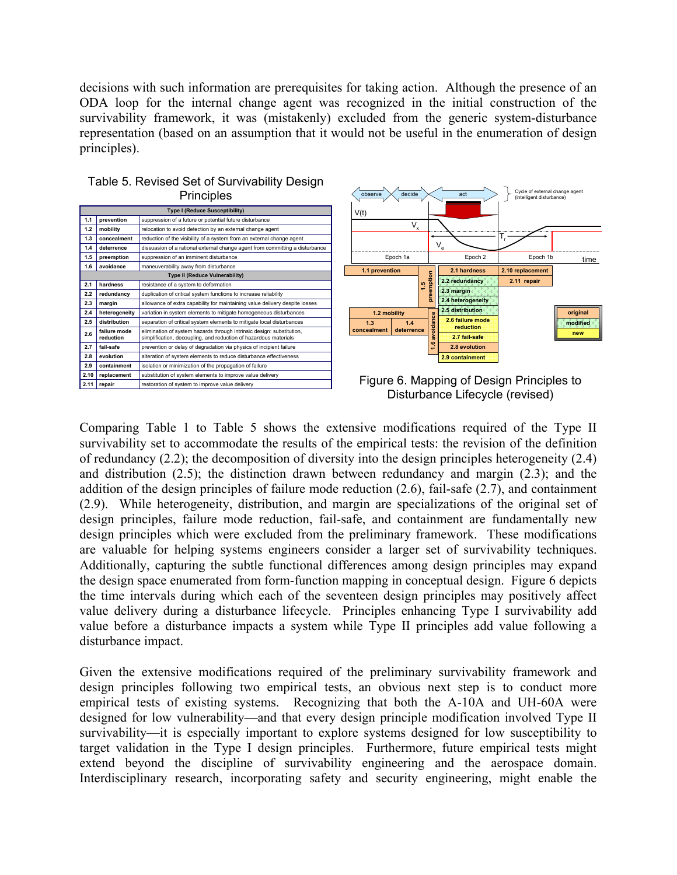decisions with such information are prerequisites for taking action. Although the presence of an ODA loop for the internal change agent was recognized in the initial construction of the survivability framework, it was (mistakenly) excluded from the generic system-disturbance representation (based on an assumption that it would not be useful in the enumeration of design principles).

|      |               | Table 5. Revised Set of Survivability Design<br><b>Principles</b>            |          | observe        | decide     |                           | act                                       | Cycle of external change agent<br>(intelligent disturbance) |          |
|------|---------------|------------------------------------------------------------------------------|----------|----------------|------------|---------------------------|-------------------------------------------|-------------------------------------------------------------|----------|
|      |               | <b>Type I (Reduce Susceptibility)</b>                                        |          | V(t)           |            |                           |                                           |                                                             |          |
| 1.1  | prevention    | suppression of a future or potential future disturbance                      |          |                |            |                           |                                           |                                                             |          |
| 1.2  | mobility      | relocation to avoid detection by an external change agent                    |          |                | $V_{x}$    |                           |                                           |                                                             |          |
| 1.3  | concealment   | reduction of the visibility of a system from an external change agent        |          |                |            |                           |                                           |                                                             |          |
| 1.4  | deterrence    | dissuasion of a rational external change agent from committing a disturbance |          |                |            |                           | $V_{e}$                                   |                                                             |          |
| 1.5  | preemption    | suppression of an imminent disturbance                                       | Epoch 1a |                |            |                           | Epoch <sub>2</sub>                        | Epoch 1b                                                    | time     |
| 1.6  | avoidance     | maneuverability away from disturbance                                        |          | 1.1 prevention |            |                           | 2.1 hardness                              | 2.10 replacement                                            |          |
|      |               | <b>Type II (Reduce Vulnerability)</b>                                        |          |                |            | $\epsilon$                |                                           |                                                             |          |
| 2.1  | hardness      | resistance of a system to deformation                                        |          |                |            | emptio<br>$\frac{16}{16}$ | 2.2 redundancy                            | 2.11 repair                                                 |          |
| 2.2  | redundancy    | duplication of critical system functions to increase reliability             |          |                |            | ğ                         | 2.3 margin                                |                                                             |          |
| 2.3  | margin        | allowance of extra capability for maintaining value delivery despite losses  |          |                |            |                           | 2.4 heterogeneity                         |                                                             |          |
| 2.4  | heterogeneity | variation in system elements to mitigate homogeneous disturbances            |          | 1.2 mobility   |            | 8                         | 2.5 distribution                          |                                                             | original |
| 2.5  | distribution  | separation of critical system elements to mitigate local disturbances        |          | 1.3            | 1.4        | oidan                     | 2.6 failure mode<br>reduction             |                                                             | modified |
| 2.6  | failure mode  | elimination of system hazards through intrinsic design: substitution,        |          | concealment    | deterrence |                           |                                           |                                                             | new      |
|      | reduction     | simplification, decoupling, and reduction of hazardous materials             |          |                |            | 'n.<br>G.                 | 2.7 fail-safe                             |                                                             |          |
| 2.7  | fail-safe     | prevention or delay of degradation via physics of incipient failure          |          |                |            |                           | 2.8 evolution                             |                                                             |          |
| 2.8  | evolution     | alteration of system elements to reduce disturbance effectiveness            |          |                |            |                           | 2.9 containment                           |                                                             |          |
| 2.9  | containment   | isolation or minimization of the propagation of failure                      |          |                |            |                           |                                           |                                                             |          |
| 2.10 | replacement   | substitution of system elements to improve value delivery                    |          |                |            |                           |                                           |                                                             |          |
| 2.11 | repair        | restoration of system to improve value delivery                              |          |                |            |                           | Figure 6. Mapping of Design Principles to |                                                             |          |
|      |               |                                                                              |          |                |            |                           | Disturbance Lifecycle (revised)           |                                                             |          |

Comparing Table 1 to Table 5 shows the extensive modifications required of the Type II survivability set to accommodate the results of the empirical tests: the revision of the definition of redundancy (2.2); the decomposition of diversity into the design principles heterogeneity (2.4) and distribution (2.5); the distinction drawn between redundancy and margin (2.3); and the addition of the design principles of failure mode reduction (2.6), fail-safe (2.7), and containment (2.9). While heterogeneity, distribution, and margin are specializations of the original set of design principles, failure mode reduction, fail-safe, and containment are fundamentally new design principles which were excluded from the preliminary framework. These modifications are valuable for helping systems engineers consider a larger set of survivability techniques. Additionally, capturing the subtle functional differences among design principles may expand the design space enumerated from form-function mapping in conceptual design. Figure 6 depicts the time intervals during which each of the seventeen design principles may positively affect value delivery during a disturbance lifecycle. Principles enhancing Type I survivability add value before a disturbance impacts a system while Type II principles add value following a disturbance impact.

Given the extensive modifications required of the preliminary survivability framework and design principles following two empirical tests, an obvious next step is to conduct more empirical tests of existing systems. Recognizing that both the A-10A and UH-60A were designed for low vulnerability—and that every design principle modification involved Type II survivability—it is especially important to explore systems designed for low susceptibility to target validation in the Type I design principles. Furthermore, future empirical tests might extend beyond the discipline of survivability engineering and the aerospace domain. Interdisciplinary research, incorporating safety and security engineering, might enable the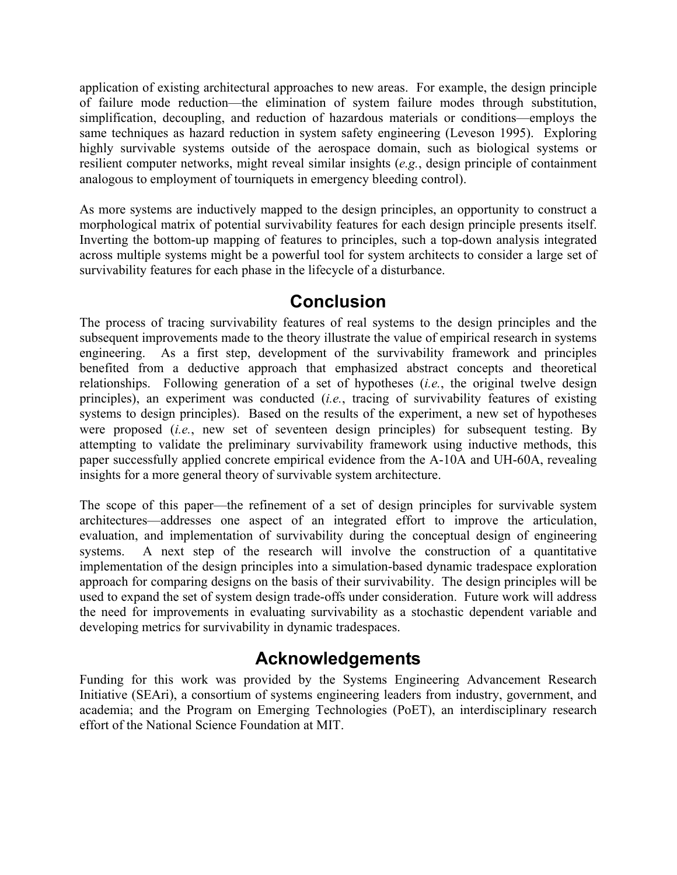application of existing architectural approaches to new areas. For example, the design principle of failure mode reduction—the elimination of system failure modes through substitution, simplification, decoupling, and reduction of hazardous materials or conditions—employs the same techniques as hazard reduction in system safety engineering (Leveson 1995). Exploring highly survivable systems outside of the aerospace domain, such as biological systems or resilient computer networks, might reveal similar insights (e.g., design principle of containment analogous to employment of tourniquets in emergency bleeding control).

As more systems are inductively mapped to the design principles, an opportunity to construct a morphological matrix of potential survivability features for each design principle presents itself. Inverting the bottom-up mapping of features to principles, such a top-down analysis integrated across multiple systems might be a powerful tool for system architects to consider a large set of survivability features for each phase in the lifecycle of a disturbance.

## **Conclusion**

The process of tracing survivability features of real systems to the design principles and the subsequent improvements made to the theory illustrate the value of empirical research in systems engineering. As a first step, development of the survivability framework and principles benefited from a deductive approach that emphasized abstract concepts and theoretical relationships. Following generation of a set of hypotheses *(i.e.*, the original twelve design principles), an experiment was conducted (i.e., tracing of survivability features of existing systems to design principles). Based on the results of the experiment, a new set of hypotheses were proposed (*i.e.*, new set of seventeen design principles) for subsequent testing. By attempting to validate the preliminary survivability framework using inductive methods, this paper successfully applied concrete empirical evidence from the A-10A and UH-60A, revealing insights for a more general theory of survivable system architecture.

The scope of this paper—the refinement of a set of design principles for survivable system architectures—addresses one aspect of an integrated effort to improve the articulation, evaluation, and implementation of survivability during the conceptual design of engineering systems. A next step of the research will involve the construction of a quantitative implementation of the design principles into a simulation-based dynamic tradespace exploration approach for comparing designs on the basis of their survivability. The design principles will be used to expand the set of system design trade-offs under consideration. Future work will address the need for improvements in evaluating survivability as a stochastic dependent variable and developing metrics for survivability in dynamic tradespaces.

## Acknowledgements

Funding for this work was provided by the Systems Engineering Advancement Research Initiative (SEAri), a consortium of systems engineering leaders from industry, government, and academia; and the Program on Emerging Technologies (PoET), an interdisciplinary research effort of the National Science Foundation at MIT.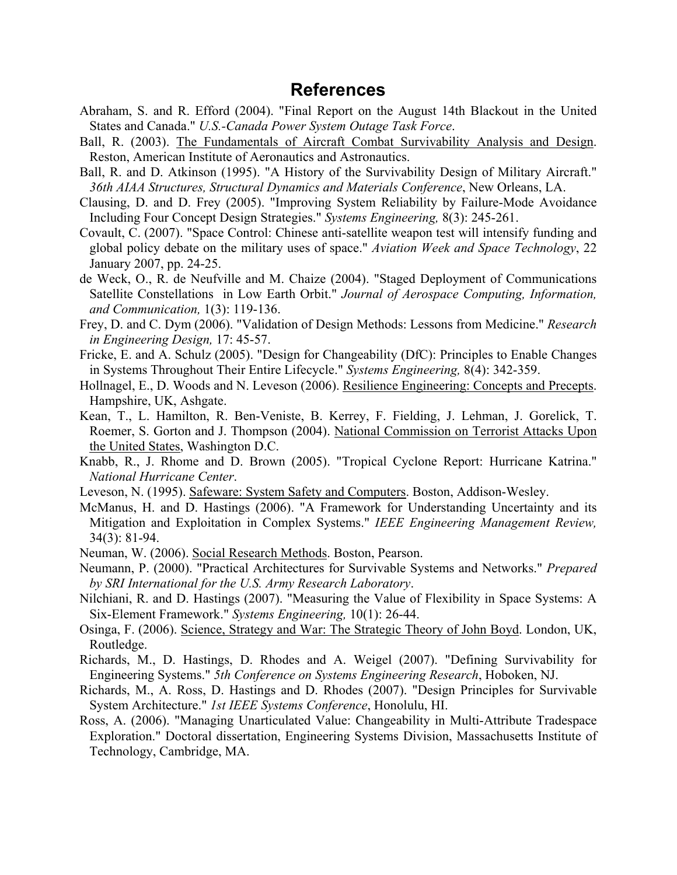#### References

- Abraham, S. and R. Efford (2004). "Final Report on the August 14th Blackout in the United States and Canada." U.S.-Canada Power System Outage Task Force.
- Ball, R. (2003). The Fundamentals of Aircraft Combat Survivability Analysis and Design. Reston, American Institute of Aeronautics and Astronautics.
- Ball, R. and D. Atkinson (1995). "A History of the Survivability Design of Military Aircraft." 36th AIAA Structures, Structural Dynamics and Materials Conference, New Orleans, LA.
- Clausing, D. and D. Frey (2005). "Improving System Reliability by Failure-Mode Avoidance Including Four Concept Design Strategies." Systems Engineering, 8(3): 245-261.
- Covault, C. (2007). "Space Control: Chinese anti-satellite weapon test will intensify funding and global policy debate on the military uses of space." Aviation Week and Space Technology, 22 January 2007, pp. 24-25.
- de Weck, O., R. de Neufville and M. Chaize (2004). "Staged Deployment of Communications Satellite Constellations in Low Earth Orbit." Journal of Aerospace Computing, Information, and Communication, 1(3): 119-136.
- Frey, D. and C. Dym (2006). "Validation of Design Methods: Lessons from Medicine." Research in Engineering Design, 17: 45-57.
- Fricke, E. and A. Schulz (2005). "Design for Changeability (DfC): Principles to Enable Changes in Systems Throughout Their Entire Lifecycle." Systems Engineering, 8(4): 342-359.
- Hollnagel, E., D. Woods and N. Leveson (2006). Resilience Engineering: Concepts and Precepts. Hampshire, UK, Ashgate.
- Kean, T., L. Hamilton, R. Ben-Veniste, B. Kerrey, F. Fielding, J. Lehman, J. Gorelick, T. Roemer, S. Gorton and J. Thompson (2004). National Commission on Terrorist Attacks Upon the United States, Washington D.C.
- Knabb, R., J. Rhome and D. Brown (2005). "Tropical Cyclone Report: Hurricane Katrina." National Hurricane Center.
- Leveson, N. (1995). Safeware: System Safety and Computers. Boston, Addison-Wesley.
- McManus, H. and D. Hastings (2006). "A Framework for Understanding Uncertainty and its Mitigation and Exploitation in Complex Systems." IEEE Engineering Management Review, 34(3): 81-94.
- Neuman, W. (2006). Social Research Methods. Boston, Pearson.
- Neumann, P. (2000). "Practical Architectures for Survivable Systems and Networks." Prepared by SRI International for the U.S. Army Research Laboratory.
- Nilchiani, R. and D. Hastings (2007). "Measuring the Value of Flexibility in Space Systems: A Six-Element Framework." Systems Engineering, 10(1): 26-44.
- Osinga, F. (2006). Science, Strategy and War: The Strategic Theory of John Boyd. London, UK, Routledge.
- Richards, M., D. Hastings, D. Rhodes and A. Weigel (2007). "Defining Survivability for Engineering Systems." 5th Conference on Systems Engineering Research, Hoboken, NJ.
- Richards, M., A. Ross, D. Hastings and D. Rhodes (2007). "Design Principles for Survivable System Architecture." 1st IEEE Systems Conference, Honolulu, HI.
- Ross, A. (2006). "Managing Unarticulated Value: Changeability in Multi-Attribute Tradespace Exploration." Doctoral dissertation, Engineering Systems Division, Massachusetts Institute of Technology, Cambridge, MA.